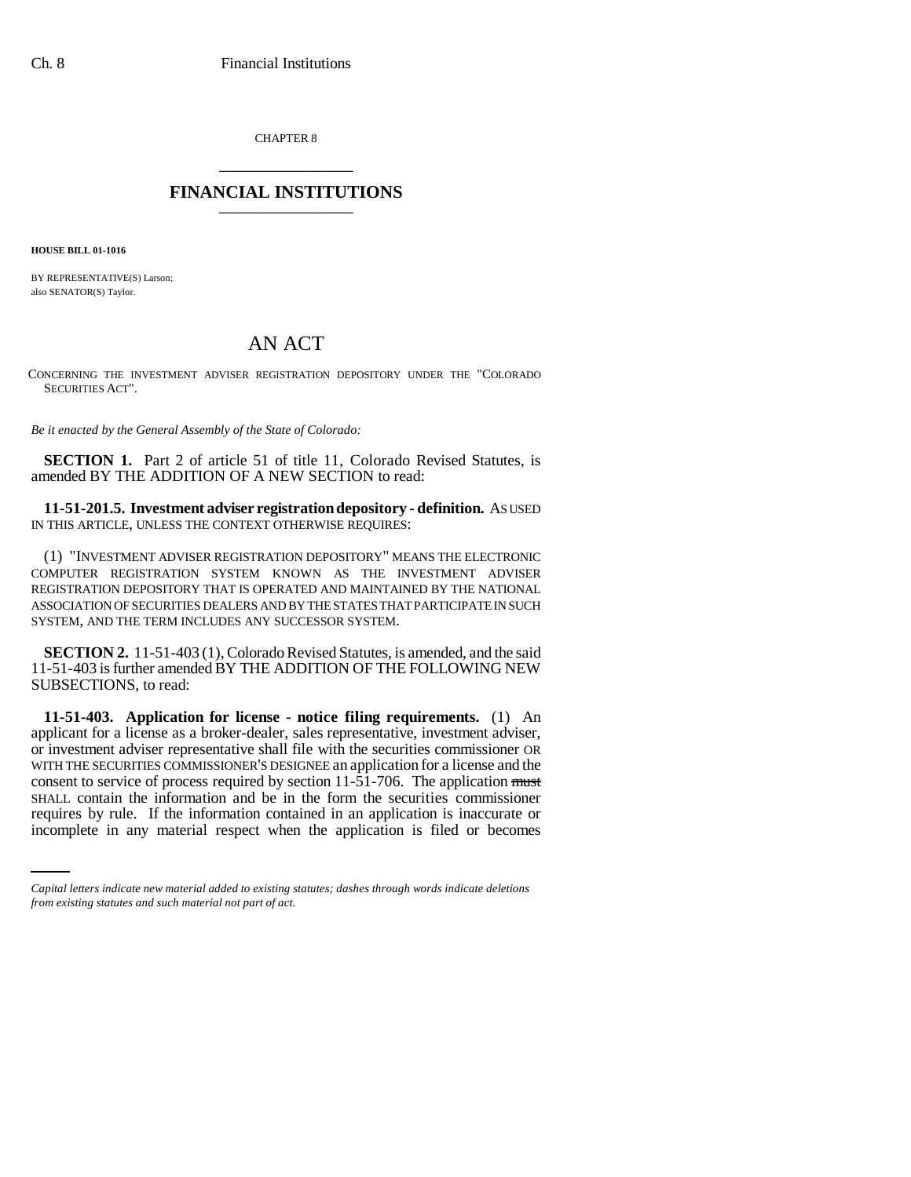CHAPTER 8 \_\_\_\_\_\_\_\_\_\_\_\_\_\_\_

## **FINANCIAL INSTITUTIONS** \_\_\_\_\_\_\_\_\_\_\_\_\_\_\_

**HOUSE BILL 01-1016**

BY REPRESENTATIVE(S) Larson; also SENATOR(S) Taylor.

## AN ACT

CONCERNING THE INVESTMENT ADVISER REGISTRATION DEPOSITORY UNDER THE "COLORADO SECURITIES ACT".

*Be it enacted by the General Assembly of the State of Colorado:*

**SECTION 1.** Part 2 of article 51 of title 11, Colorado Revised Statutes, is amended BY THE ADDITION OF A NEW SECTION to read:

**11-51-201.5. Investment adviser registration depository - definition.** AS USED IN THIS ARTICLE, UNLESS THE CONTEXT OTHERWISE REQUIRES:

(1) "INVESTMENT ADVISER REGISTRATION DEPOSITORY" MEANS THE ELECTRONIC COMPUTER REGISTRATION SYSTEM KNOWN AS THE INVESTMENT ADVISER REGISTRATION DEPOSITORY THAT IS OPERATED AND MAINTAINED BY THE NATIONAL ASSOCIATION OF SECURITIES DEALERS AND BY THE STATES THAT PARTICIPATE IN SUCH SYSTEM, AND THE TERM INCLUDES ANY SUCCESSOR SYSTEM.

**SECTION 2.** 11-51-403 (1), Colorado Revised Statutes, is amended, and the said 11-51-403 is further amended BY THE ADDITION OF THE FOLLOWING NEW SUBSECTIONS, to read:

SHALL contain the information and be in the form the securities commissioner **11-51-403. Application for license - notice filing requirements.** (1) An applicant for a license as a broker-dealer, sales representative, investment adviser, or investment adviser representative shall file with the securities commissioner OR WITH THE SECURITIES COMMISSIONER'S DESIGNEE an application for a license and the consent to service of process required by section 11-51-706. The application must requires by rule. If the information contained in an application is inaccurate or incomplete in any material respect when the application is filed or becomes

*Capital letters indicate new material added to existing statutes; dashes through words indicate deletions from existing statutes and such material not part of act.*